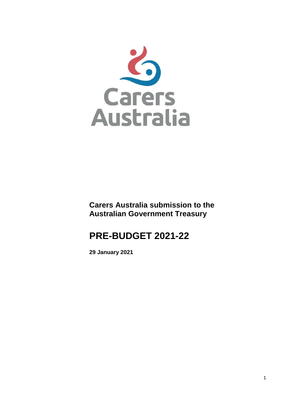

**Carers Australia submission to the Australian Government Treasury**

# **PRE-BUDGET 2021-22**

**29 January 2021**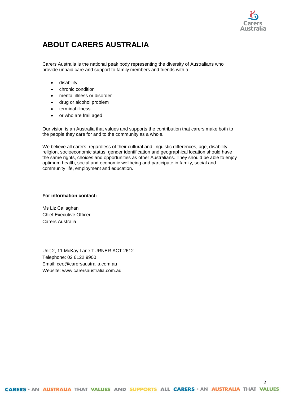

# **ABOUT CARERS AUSTRALIA**

Carers Australia is the national peak body representing the diversity of Australians who provide unpaid care and support to family members and friends with a:

- disability
- chronic condition
- mental illness or disorder
- drug or alcohol problem
- terminal illness
- or who are frail aged

Our vision is an Australia that values and supports the contribution that carers make both to the people they care for and to the community as a whole.

We believe all carers, regardless of their cultural and linguistic differences, age, disability, religion, socioeconomic status, gender identification and geographical location should have the same rights, choices and opportunities as other Australians. They should be able to enjoy optimum health, social and economic wellbeing and participate in family, social and community life, employment and education.

### **For information contact:**

Ms Liz Callaghan Chief Executive Officer Carers Australia

Unit 2, 11 McKay Lane TURNER ACT 2612 Telephone: 02 6122 9900 Email: ceo@carersaustralia.com.au Website: www.carersaustralia.com.au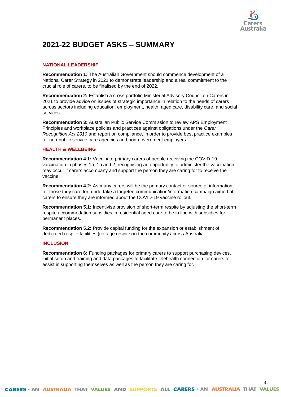

# **2021-22 BUDGET ASKS – SUMMARY**

### **NATIONAL LEADERSHIP**

**Recommendation 1:** The Australian Government should commence development of a National Carer Strategy in 2021 to demonstrate leadership and a real commitment to the crucial role of carers, to be finalised by the end of 2022.

**Recommendation 2:** Establish a cross portfolio Ministerial Advisory Council on Carers in 2021 to provide advice on issues of strategic importance in relation to the needs of carers across sectors including education, employment, health, aged care, disability care, and social services.

**Recommendation 3:** Australian Public Service Commission to review APS Employment Principles and workplace policies and practices against obligations under the *Carer Recognition Act 2010* and report on compliance, in order to provide best practice examples for non-public service care agencies and non-government employers.

### **HEALTH & WELLBEING**

**Recommendation 4.1:** Vaccinate primary carers of people receiving the COVID-19 vaccination in phases 1a, 1b and 2, recognising an opportunity to administer the vaccination may occur if carers accompany and support the person they are caring for to receive the vaccine.

**Recommendation 4.2:** As many carers will be the primary contact or source of information for those they care for, undertake a targeted communication/information campaign aimed at carers to ensure they are informed about the COVID-19 vaccine rollout.

**Recommendation 5.1:** Incentivise provision of short-term respite by adjusting the short-term respite accommodation subsidies in residential aged care to be in line with subsidies for permanent places.

**Recommendation 5.2:** Provide capital funding for the expansion or establishment of dedicated respite facilities (cottage respite) in the community across Australia.

#### **INCLUSION**

**Recommendation 6:** Funding packages for primary carers to support purchasing devices, initial setup and training and data packages to facilitate telehealth connection for carers to assist in supporting themselves as well as the person they are caring for.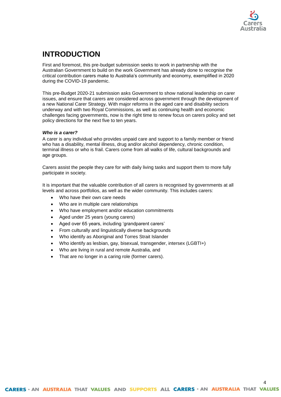

# **INTRODUCTION**

First and foremost, this pre-budget submission seeks to work in partnership with the Australian Government to build on the work Government has already done to recognise the critical contribution carers make to Australia's community and economy, exemplified in 2020 during the COVID-19 pandemic.

This pre-Budget 2020-21 submission asks Government to show national leadership on carer issues, and ensure that carers are considered across government through the development of a new National Carer Strategy. With major reforms in the aged care and disability sectors underway and with two Royal Commissions, as well as continuing health and economic challenges facing governments, now is the right time to renew focus on carers policy and set policy directions for the next five to ten years.

### *Who is a carer?*

A carer is any individual who provides unpaid care and support to a family member or friend who has a disability, mental illness, drug and/or alcohol dependency, chronic condition, terminal illness or who is frail. Carers come from all walks of life, cultural backgrounds and age groups.

Carers assist the people they care for with daily living tasks and support them to more fully participate in society.

It is important that the valuable contribution of all carers is recognised by governments at all levels and across portfolios, as well as the wider community. This includes carers:

- Who have their own care needs
- Who are in multiple care relationships
- Who have employment and/or education commitments
- Aged under 25 years (young carers)
- Aged over 65 years, including 'grandparent carers'
- From culturally and linguistically diverse backgrounds
- Who identify as Aboriginal and Torres Strait Islander
- Who identify as lesbian, gay, bisexual, transgender, intersex (LGBTI+)
- Who are living in rural and remote Australia, and
- That are no longer in a caring role (former carers).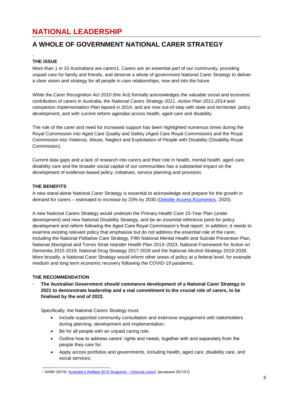# **NATIONAL LEADERSHIP**

## **A WHOLE OF GOVERNMENT NATIONAL CARER STRATEGY**

### **THE ISSUE**

**.**

More than 1 in 10 Australians are carers1. Carers are an essential part of our community, providing unpaid care for family and friends, and deserve a whole of government National Carer Strategy to deliver a clear vision and strategy for all people in care relationships, now and into the future.

While the *Carer Recognition Act 2010* (the Act) formally acknowledges the valuable social and economic contribution of carers in Australia, the *National Carers Strategy 2011*, *Action Plan 2011-2014* and companion *Implementation Plan* lapsed in 2014, and are now out-of-step with state and territories' policy development, and with current reform agendas across health, aged care and disability.

The role of the carer and need for increased support has been highlighted numerous times during the Royal Commission into Aged Care Quality and Safety (Aged Care Royal Commission) and the Royal Commission into Violence, Abuse, Neglect and Exploitation of People with Disability (Disability Royal Commission).

Current data gaps and a lack of research into carers and their role in health, mental health, aged care, disability care and the broader social capital of our communities has a substantial impact on the development of evidence-based policy, initiatives, service planning and provision.

### **THE BENEFITS**

A new stand-alone National Carer Strategy is essential to acknowledge and prepare for the growth in demand for carers – estimated to increase by 23% by 2030 [\(Deloitte Access Economics,](https://www2.deloitte.com/au/en/pages/economics/articles/value-of-informal-care-2020.html) 2020).

A new National Carers Strategy would underpin the Primary Health Care 10-Year Plan (under development) and new National Disability Strategy, and be an essential reference point for policy development and reform following the Aged Care Royal Commission's final report. In addition, it needs to examine existing relevant policy that emphasise but do not address the essential role of the carer, including the National Palliative Care Strategy, Fifth National Mental Health and Suicide Prevention Plan, National Aboriginal and Torres Strait Islander Health Plan 2013–2023, National Framework for Action on Dementia 2015-2019, National Drug Strategy 2017-2026 and the National Alcohol Strategy 2019-2028. More broadly, a National Carer Strategy would inform other areas of policy at a federal level, for example medium and long term economic recovery following the COVID-19 pandemic.

### **THE RECOMMENDATION**

- **The Australian Government should commence development of a National Carer Strategy in 2021 to demonstrate leadership and a real commitment to the crucial role of carers, to be finalised by the end of 2022.** 

Specifically, the National Carers Strategy must:

- Include supported community consultation and extensive engagement with stakeholders during planning, development and implementation;
- Be for all people with an unpaid caring role;
- Outline how to address carers' rights and needs, together with and separately from the people they care for;
- Apply across portfolios and governments, including health, aged care, disability care, and social services;

 $\overline{a}$ <sup>1</sup> AIHW (2019) ['Australia's Welfare 2019 Snapshot –](https://www.aihw.gov.au/reports/australias-welfare/informal-carers) Informal carers' [accessed 20/1/21]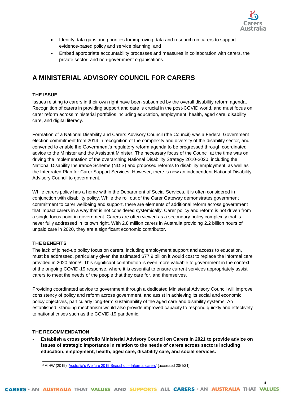

- Identify data gaps and priorities for improving data and research on carers to support evidence-based policy and service planning; and
- Embed appropriate accountability processes and measures in collaboration with carers, the private sector, and non-government organisations.

### **A MINISTERIAL ADVISORY COUNCIL FOR CARERS**

### **THE ISSUE**

Issues relating to carers in their own right have been subsumed by the overall disability reform agenda. Recognition of carers in providing support and care is crucial in the post-COVID world, and must focus on carer reform across ministerial portfolios including education, employment, health, aged care, disability care, and digital literacy.

Formation of a National Disability and Carers Advisory Council (the Council) was a Federal Government election commitment from 2014 in recognition of the complexity and diversity of the disability sector, and convened to enable the Government's regulatory reform agenda to be progressed through coordinated advice to the Minister and the Assistant Minister. The necessary focus of the Council at the time was on driving the implementation of the overarching National Disability Strategy 2010-2020, including the National Disability Insurance Scheme (NDIS) and proposed reforms to disability employment, as well as the Integrated Plan for Carer Support Services. However, there is now an independent National Disability Advisory Council to government.

While carers policy has a home within the Department of Social Services, it is often considered in conjunction with disability policy. While the roll out of the Carer Gateway demonstrates government commitment to carer wellbeing and support, there are elements of additional reform across government that impact carers in a way that is not considered systemically. Carer policy and reform is not driven from a single focus point in government. Carers are often viewed as a secondary policy complexity that is never fully addressed in its own right. With 2.8 million carers in Australia providing 2.2 billion hours of unpaid care in 2020, they are a significant economic contributor.

### **THE BENEFITS**

The lack of joined-up policy focus on carers, including employment support and access to education, must be addressed, particularly given the estimated \$77.9 billion it would cost to replace the informal care provided in 2020 alone<sup>2</sup> . This significant contribution is even more valuable to government in the context of the ongoing COVID-19 response, where it is essential to ensure current services appropriately assist carers to meet the needs of the people that they care for, and themselves.

Providing coordinated advice to government through a dedicated Ministerial Advisory Council will improve consistency of policy and reform across government, and assist in achieving its social and economic policy objectives, particularly long-term sustainability of the aged care and disability systems. An established, standing mechanism would also provide improved capacity to respond quickly and effectively to national crises such as the COVID-19 pandemic.

### **THE RECOMMENDATION**

 $\overline{a}$ 

- **Establish a cross portfolio Ministerial Advisory Council on Carers in 2021 to provide advice on issues of strategic importance in relation to the needs of carers across sectors including education, employment, health, aged care, disability care, and social services.**

<sup>&</sup>lt;sup>2</sup> AIHW (2019) ['Australia's Welfare 2019 Snapshot –](https://www.aihw.gov.au/reports/australias-welfare/informal-carers) Informal carers' [accessed 20/1/21]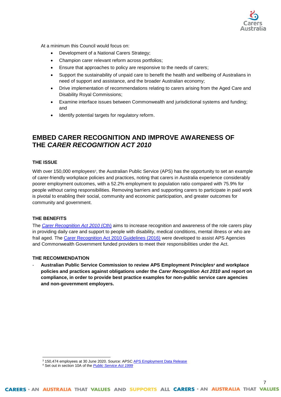

At a minimum this Council would focus on:

- Development of a National Carers Strategy;
- Champion carer relevant reform across portfolios;
- Ensure that approaches to policy are responsive to the needs of carers;
- Support the sustainability of unpaid care to benefit the health and wellbeing of Australians in need of support and assistance, and the broader Australian economy;
- Drive implementation of recommendations relating to carers arising from the Aged Care and Disability Royal Commissions;
- Examine interface issues between Commonwealth and jurisdictional systems and funding; and
- Identify potential targets for regulatory reform.

### **EMBED CARER RECOGNITION AND IMPROVE AWARENESS OF THE** *CARER RECOGNITION ACT 2010*

### **THE ISSUE**

With over 150,000 employees<sup>3</sup>, the Australian Public Service (APS) has the opportunity to set an example of carer-friendly workplace policies and practices, noting that carers in Australia experience considerably poorer employment outcomes, with a 52.2% employment to population ratio compared with 75.9% for people without caring responsibilities. Removing barriers and supporting carers to participate in paid work is pivotal to enabling their social, community and economic participation, and greater outcomes for community and government.

### **THE BENEFITS**

 $\overline{a}$ 

The *[Carer Recognition Act 2010](https://www.legislation.gov.au/Details/C2010A00123)* (Cth) aims to increase recognition and awareness of the role carers play in providing daily care and support to people with disability, medical conditions, mental illness or who are frail aged. The [Carer Recognition Act 2010 Guidelines \(2016\)](https://www.dss.gov.au/our-responsibilities/disability-and-carers/publications-articles/carer-recognition-act-2010-guidelines) were developed to assist APS Agencies and Commonwealth Government funded providers to meet their responsibilities under the Act.

### **THE RECOMMENDATION**

- **Australian Public Service Commission to review APS Employment Principles<sup>4</sup> and workplace policies and practices against obligations under the** *Carer Recognition Act 2010* **and report on compliance, in order to provide best practice examples for non-public service care agencies and non-government employers.**

<sup>&</sup>lt;sup>3</sup> 150,474 employees at 30 June 2020. Source: APS[C APS Employment Data Release](https://www.apsc.gov.au/sites/default/files/aps_employment_release_30_june_2020_r2a.pdf)

<sup>4</sup> Set out in section 10A of the *[Public Service Act 1999](https://www.legislation.gov.au/Details/C2019C00057)*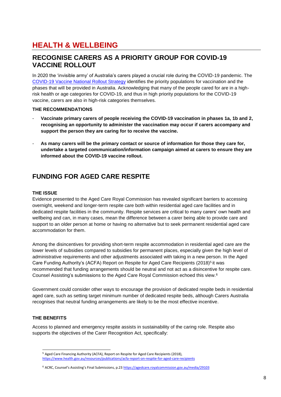# **HEALTH & WELLBEING**

### **RECOGNISE CARERS AS A PRIORITY GROUP FOR COVID-19 VACCINE ROLLOUT**

In 2020 the 'invisible army' of Australia's carers played a crucial role during the COVID-19 pandemic. The [COVID-19 Vaccine National Rollout Strategy](https://www.health.gov.au/sites/default/files/documents/2021/01/australia-s-epidemiology-and-covid-19-vaccine-roadmap-australia-s-covid-19-vaccine-national-rollout-strategy.pdf) identifies the priority populations for vaccination and the phases that will be provided in Australia. Acknowledging that many of the people cared for are in a highrisk health or age categories for COVID-19, and thus in high priority populations for the COVID-19 vaccine, carers are also in high-risk categories themselves.

### **THE RECOMMENDATIONS**

- **Vaccinate primary carers of people receiving the COVID-19 vaccination in phases 1a, 1b and 2, recognising an opportunity to administer the vaccination may occur if carers accompany and support the person they are caring for to receive the vaccine.**
- As many carers will be the primary contact or source of information for those they care for, **undertake a targeted communication/information campaign aimed at carers to ensure they are informed about the COVID-19 vaccine rollout.**

## **FUNDING FOR AGED CARE RESPITE**

### **THE ISSUE**

Evidence presented to the Aged Care Royal Commission has revealed significant barriers to accessing overnight, weekend and longer-term respite care both within residential aged care facilities and in dedicated respite facilities in the community. Respite services are critical to many carers' own health and wellbeing and can, in many cases, mean the difference between a carer being able to provide care and support to an older person at home or having no alternative but to seek permanent residential aged care accommodation for them.

Among the disincentives for providing short-term respite accommodation in residential aged care are the lower levels of subsidies compared to subsidies for permanent places, especially given the high level of administrative requirements and other adjustments associated with taking in a new person. In the Aged Care Funding Authority's (ACFA) Report on Respite for Aged Care Recipients (2018)<sup>s</sup> it was recommended that funding arrangements should be neutral and not act as a disincentive for respite care. Counsel Assisting's submissions to the Aged Care Royal Commission echoed this view.<sup>6</sup>

Government could consider other ways to encourage the provision of dedicated respite beds in residential aged care, such as setting target minimum number of dedicated respite beds, although Carers Australia recognises that neutral funding arrangements are likely to be the most effective incentive.

### **THE BENEFITS**

Access to planned and emergency respite assists in sustainability of the caring role. Respite also supports the objectives of the Carer Recognition Act, specifically:

l <sup>5</sup> Aged Care Financing Authority (ACFA), Report on Respite for Aged Care Recipients (2018), <https://www.health.gov.au/resources/publications/acfa-report-on-respite-for-aged-care-recipients>

<sup>&</sup>lt;sup>6</sup> ACRC, Counsel's Assisting's Final Submissions, p.23 <https://agedcare.royalcommission.gov.au/media/29103>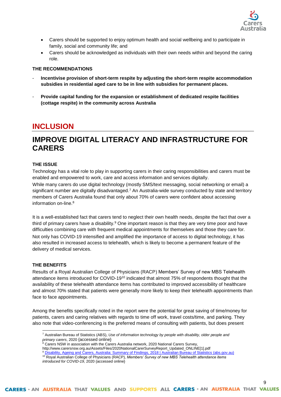

- Carers should be supported to enjoy optimum health and social wellbeing and to participate in family, social and community life; and
- Carers should be acknowledged as individuals with their own needs within and beyond the caring role.

### **THE RECOMMENDATIONS**

- **Incentivise provision of short-term respite by adjusting the short-term respite accommodation subsidies in residential aged care to be in line with subsidies for permanent places.**
- **Provide capital funding for the expansion or establishment of dedicated respite facilities (cottage respite) in the community across Australia**

## **INCLUSION**

# **IMPROVE DIGITAL LITERACY AND INFRASTRUCTURE FOR CARERS**

### **THE ISSUE**

Technology has a vital role to play in supporting carers in their caring responsibilities and carers must be enabled and empowered to work, care and access information and services digitally.

While many carers do use digital technology (mostly SMS/text messaging, social networking or email) a significant number are digitally disadvantaged. <sup>7</sup> An Australia-wide survey conducted by state and territory members of Carers Australia found that only about 70% of carers were confident about accessing information on-line.<sup>8</sup>

It is a well-established fact that carers tend to neglect their own health needs, despite the fact that over a third of primary carers have a disability.<sup>9</sup> One important reason is that they are very time poor and have difficulties combining care with frequent medical appointments for themselves and those they care for. Not only has COVID-19 intensified and amplified the importance of access to digital technology, it has also resulted in increased access to telehealth, which is likely to become a permanent feature of the delivery of medical services.

### **THE BENEFITS**

l

Results of a Royal Australian College of Physicians (RACP) Members' Survey of new MBS Telehealth attendance items introduced for COVID-19<sup>10</sup> indicated that almost 75% of respondents thought that the availability of these telehealth attendance items has contributed to improved accessibility of healthcare and almost 70% stated that patients were generally more likely to keep their telehealth appointments than face to face appointments.

Among the benefits specifically noted in the report were the potential for great saving of time/money for patients, carers and caring relatives with regards to time off work, travel costs/time, and parking. They also note that video-conferencing is the preferred means of consulting with patients, but does present

http://www.carersnsw.org.au/Assets/Files/2020NationalCarerSurveyReport\_Updated\_ONLINE[1].pdf

<sup>7</sup> Australian Bureau of Statistics (ABS), *Use of information technology by people with disability, older people and primary carers*, 2020 {accessed online}

<sup>&</sup>lt;sup>8</sup> Carers NSW in association with the Carers Australia network, 2020 National Carers Survey

Disability, Ageing and [Carers, Australia: Summary of Findings, 2018 | Australian Bureau of Statistics \(abs.gov.au\)](https://www.abs.gov.au/statistics/health/disability/disability-ageing-and-carers-australia-summary-findings/latest-release) <sup>10</sup> Royal Australian College of Physicians (RACP), *Members' Survey of new MBS Telehealth attendance items introduced for COVID-19*, 2020 {accessed online}